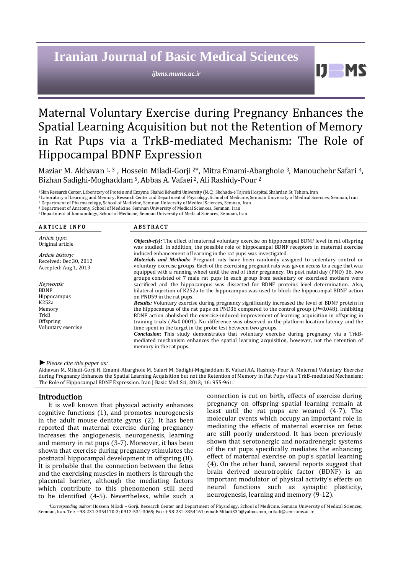# **Iranian Journal of Basic Medical Sciences**

*ijbms.mums.ac.ir*

H

# Maternal Voluntary Exercise during Pregnancy Enhances the Spatial Learning Acquisition but not the Retention of Memory in Rat Pups via a TrkB-mediated Mechanism: The Role of Hippocampal BDNF Expression

Maziar M. Akhavan 1, 3, Hossein Miladi-Gorji <sup>2\*</sup>, Mitra Emami-Abarghoie <sup>3</sup>, Manouchehr Safari <sup>4</sup>, Bizhan Sadighi-Moghaddam <sup>5</sup>, Abbas A. Vafaei <sup>2</sup>, Ali Rashidy-Pour <sup>2</sup>

<sup>1</sup>Skin Research Center, Laboratory of Protein and Enzyme, Shahid Beheshti University (M.C), Shohada-e Tajrish Hospital, Shahrdari St, Tehran, Iran

<sup>2</sup>Laboratory of Learning and Memory, Research Center and Department of Physiology, School of Medicine, Semnan University of Medical Sciences, Semnan, Iran <sup>3</sup> Department of Pharmacology, School of Medicine, Semnan University of Medical Sciences, Semnan, Iran

<sup>4</sup> Department of Anatomy, School of Medicine, Semnan University of Medical Sciences, Semnan, Iran

<sup>5</sup>Department of Immunology, School of Medicine, Semnan University of Medical Sciences, Semnan, Iran

| <b>ARTICLE INFO</b>                                                 | <b>ABSTRACT</b>                                                                                                                                                                                                                                                                                                                                                                                                                                                                                                                                                                                       |
|---------------------------------------------------------------------|-------------------------------------------------------------------------------------------------------------------------------------------------------------------------------------------------------------------------------------------------------------------------------------------------------------------------------------------------------------------------------------------------------------------------------------------------------------------------------------------------------------------------------------------------------------------------------------------------------|
| Article type:<br>Original article                                   | <b><i>Objective(s)</i></b> : The effect of maternal voluntary exercise on hippocampal BDNF level in rat offspring<br>was studied. In addition, the possible role of hippocampal BDNF receptors in maternal exercise<br>induced enhancement of learning in the rat pups was investigated.<br><b>Materials and Methods:</b> Pregnant rats have been randomly assigned to sedentary control or<br>voluntary exercise groups. Each of the exercising pregnant rats was given access to a cage that was<br>equipped with a running wheel until the end of their pregnancy. On post natal day (PND) 36, two |
| Article history:<br>Received: Dec 30, 2012<br>Accepted: Aug 1, 2013 |                                                                                                                                                                                                                                                                                                                                                                                                                                                                                                                                                                                                       |
| Keywords:<br><b>BDNF</b><br>Hippocampus                             | groups consisted of 7 male rat pups in each group from sedentary or exercised mothers were<br>sacrificed and the hippocampus was dissected for BDNF proteins level determination. Also,<br>bilateral injection of K252a to the hippocampus was used to block the hippocampal BDNF action<br>on PND59 in the rat pups.                                                                                                                                                                                                                                                                                 |
| K252a<br>Memory<br>TrkB<br>Offspring                                | <b>Results:</b> Voluntary exercise during pregnancy significantly increased the level of BDNF protein in<br>the hippocampus of the rat pups on PND36 compared to the control group ( $P=0.048$ ). Inhibiting<br>BDNF action abolished the exercise-induced improvement of learning acquisition in offspring in<br>training trials ( $P=0.0001$ ). No difference was observed in the platform location latency and the                                                                                                                                                                                 |
| Voluntary exercise                                                  | time spent in the target in the probe test between two groups.<br><b>Conclusion:</b> This study demonstrates that voluntary exercise during pregnancy via a TrkB-<br>mediated mechanism enhances the spatial learning acquisition, however, not the retention of<br>memory in the rat pups.                                                                                                                                                                                                                                                                                                           |

#### *►Please cite this paper as:*

Akhavan M, Miladi-Gorji H, Emami-Abarghoie M, Safari M, Sadighi-Moghaddam B, Vafaei AA, Rashidy-Pour A. Maternal Voluntary Exercise during Pregnancy Enhances the Spatial Learning Acquisition but not the Retention of Memory in Rat Pups via a TrkB-mediated Mechanism: The Role of Hippocampal BDNF Expression. Iran J Basic Med Sci; 2013; 16: 955-961.

## Introduction

It is well known that physical activity enhances cognitive functions (1), and promotes neurogenesis in the adult mouse dentate gyrus (2). It has been reported that maternal exercise during pregnancy increases the angiogenesis, neurogenesis, learning and memory in rat pups (3-7). Moreover, it has been shown that exercise during pregnancy stimulates the postnatal hippocampal development in offspring (8). It is probable that the connection between the fetus and the exercising muscles in mothers is through the placental barrier, although the mediating factors which contribute to this phenomenon still need to be identified (4-5). Nevertheless, while such a connection is cut on birth, effects of exercise during pregnancy on offspring spatial learning remain at least until the rat pups are weaned (4-7). The molecular events which occupy an important role in mediating the effects of maternal exercise on fetus are still poorly understood. It has been previously shown that serotonergic and noradrenergic systems of the rat pups specifically mediates the enhancing effect of maternal exercise on pup's spatial learning (4). On the other hand, several reports suggest that brain derived neurotrophic factor (BDNF) is an important modulator of physical activity's effects on neural functions such as synaptic plasticity, neurogenesis, learning and memory (9-12).

\**Corresponding author:* Hossein Miladi – Gorji. Research Center and Department of Physiology, School of Medicine, Semnan University of Medical Sciences, Semnan, Iran. Tel: +98-231-3354170-3; 0912-531-3069; Fax: +98-231-3354161; email: [Miladi331@yahoo.com,](mailto:Miladi331@yahoo.com) [miladi@sem-ums.ac.ir](mailto:miladi@sem-ums.ac.ir)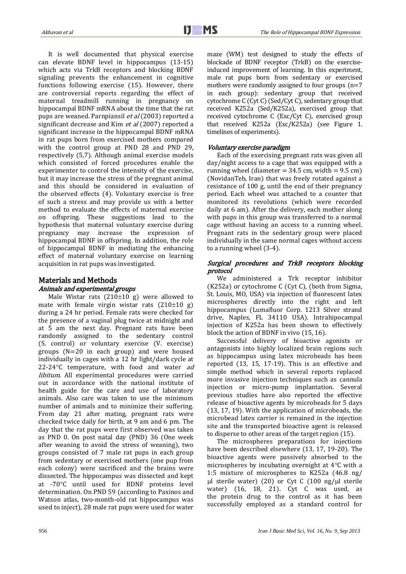It is well documented that physical exercise can elevate BDNF level in hippocampus (13-15) which acts via TrkB receptors and blocking BDNF signaling prevents the enhancement in cognitive functions following exercise (15). However, there are controversial reports regarding the effect of maternal treadmill running in pregnancy on hippocampal BDNF mRNA about the time that the rat pups are weaned. Parnpiansil et al (2003) reported a significant decrease and Kim et al (2007) reported a significant increase in the hippocampal BDNF mRNA in rat pups born from exercised mothers compared with the control group at PND 28 and PND 29, respectively (5,7). Although animal exercise models which consisted of forced procedures enable the experimenter to control the intensity of the exercise, but it may increase the stress of the pregnant animal and this should be considered in evaluation of the observed effects (4). Voluntary exercise is free of such a stress and may provide us with a better method to evaluate the effects of maternal exercise on offspring. These suggestions lead to the hypothesis that maternal voluntary exercise during pregnancy may increase the expression of hippocampal BDNF in offspring. In addition, the role of hippocampal BDNF in mediating the enhancing effect of maternal voluntary exercise on learning acquisition in rat pups was investigated.

#### Materials and Methods Animals and experimental groups

Male Wistar rats  $(210\pm 10 \text{ g})$  were allowed to mate with female virgin wistar rats  $(210\pm10)$  g) during a 24 hr period. Female rats were checked for the presence of a vaginal plug twice at midnight and at 5 am the next day. Pregnant rats have been randomly assigned to the sedentary control (S. control) or voluntary exercise (V. exercise) groups (N=20 in each group) and were housed individually in cages with a 12 hr light/dark cycle at 22-24 $\degree$ C temperature, with food and water *ad* libitum. All experimental procedures were carried out in accordance with the national institute of health guide for the care and use of laboratory animals. Also care was taken to use the minimum number of animals and to minimize their suffering. From day 21 after mating, pregnant rats were checked twice daily for birth, at 9 am and 6 pm. The day that the rat pups were first observed was taken as PND 0. On post natal day (PND) 36 (One week after weaning to avoid the stress of weaning), two groups consisted of 7 male rat pups in each group from sedentary or exercised mothers (one pup from each colony) were sacrificed and the brains were dissected. The hippocampus was dissected and kept at -70C until used for BDNF proteins level determination. On PND 59 (according to Paxinos and Watson atlas, two-month-old rat hippocampus was used to inject), 28 male rat pups were used for water

maze (WM) test designed to study the effects of blockade of BDNF receptor (TrkB) on the exerciseinduced improvement of learning. In this experiment, male rat pups born from sedentary or exercised mothers were randomly assigned to four groups  $(n=7)$ in each group): sedentary group that received cytochrome C (Cyt C) (Sed/Cyt C), sedentary group that received K252a (Sed/K252a), exercised group that received cytochrome C (Exc/Cyt C), exercised group that received K252a (Exc/K252a) (see Figure 1. timelines of experiments).

#### Voluntary exercise paradigm

Each of the exercising pregnant rats was given all day/night access to a cage that was equipped with a running wheel (diameter  $= 34.5$  cm, width  $= 9.5$  cm) (NovidanTeb, Iran) that was freely rotated against a resistance of 100 g, until the end of their pregnancy period. Each wheel was attached to a counter that monitored its revolutions (which were recorded daily at 6 am). After the delivery, each mother along with pups in this group was transferred to a normal cage without having an access to a running wheel. Pregnant rats in the sedentary group were placed individually in the same normal cages without access to a running wheel (3-4).

#### Surgical procedures and TrkB receptors blocking protocol

We administered a Trk receptor inhibitor (K252a) or cytochrome C (Cyt C), (both from Sigma, St. Louis, MO, USA) via injection of fluorescent latex microspheres directly into the right and left hippocampus (Lumafluor Corp. 1213 Silver strand drive, Naples, FL 34110 USA). Intrahipocampal injection of K252a has been shown to effectively block the action of BDNF in vivo (15, 16).

Successful delivery of bioactive agonists or antagonists into highly localized brain regions such as hippocampus using latex microbeads has been reported (13, 15, 17-19). This is an effective and simple method which in several reports replaced more invasive injection techniques such as cannula injection or micro-pump implantation. Several previous studies have also reported the effective release of bioactive agents by microbeads for 5 days (13, 17, 19). With the application of microbeads, the microbead latex carrier is remained in the injection site and the transported bioactive agent is released to disperse to other areas of the target region (15).

The microspheres preparations for injections have been described elsewhere (13, 17, 19-20). The bioactive agents were passively absorbed to the microspheres by incubating overnight at  $4^{\circ}$ C with a 1:5 mixture of microspheres to K252a (46.8 ng/  $\mu$ l sterile water) (20) or Cyt C (100 ng/ $\mu$ l sterile water) (16, 18, 21). Cyt C was used, as the protein drug to the control as it has been successfully employed as a standard control for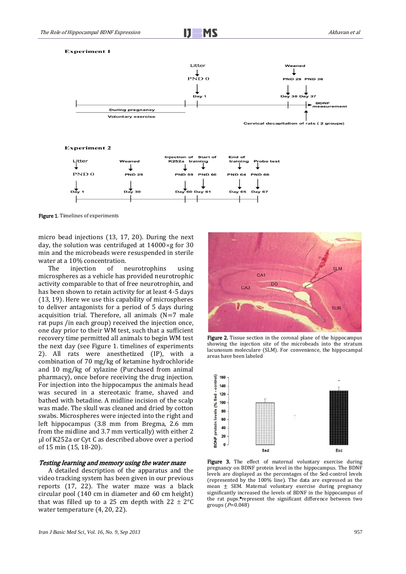**Experiment 1** 



**Experiment 2** 



Figure 1. Timelines of experiments

micro bead injections (13, 17, 20). During the next day, the solution was centrifuged at  $14000 \times g$  for 30 min and the microbeads were resuspended in sterile water at a 10% concentration.

The injection of neurotrophins using microspheres as a vehicle has provided neurotrophic activity comparable to that of free neurotrophin, and has been shown to retain activity for at least 4-5 days (13, 19). Here we use this capability of microspheres to deliver antagonists for a period of 5 days during acquisition trial. Therefore, all animals  $(N=7$  male rat pups /in each group) received the injection once, one day prior to their WM test, such that a sufficient recovery time permitted all animals to begin WM test the next day (see Figure 1. timelines of experiments 2). All rats were anesthetized (IP), with a combination of 70 mg/kg of ketamine hydrochloride and 10 mg/kg of xylazine (Purchased from animal pharmacy), once before receiving the drug injection. For injection into the hippocampus the animals head was secured in a stereotaxic frame, shaved and bathed with betadine. A midline incision of the scalp was made. The skull was cleaned and dried by cotton swabs. Microspheres were injected into the right and left hippocampus (3.8 mm from Bregma, 2.6 mm from the midline and 3.7 mm vertically) with either 2 l of K252a or Cyt C as described above over a period of 15 min (15, 18-20).

#### Testing learning and memory using the water maze

A detailed description of the apparatus and the video tracking system has been given in our previous reports (17, 22). The water maze was a black circular pool (140 cm in diameter and 60 cm height) that was filled up to a 25 cm depth with  $22 \pm 2^{\circ}C$ water temperature (4, 20, 22).



Figure 2. Tissue section in the coronal plane of the hippocampus showing the injection site of the microbeads into the stratum lacunosum moleculare (SLM). For convenience, the hippocampal areas have been labeled



Figure 3. The effect of maternal voluntary exercise during pregnancy on BDNF protein level in the hippocampus. The BDNF levels are displayed as the percentages of the Sed-control levels (represented by the 100% line). The data are expressed as the mean ± SEM. Maternal voluntary exercise during pregnancy significantly increased the levels of BDNF in the hippocampus of the rat pups.\*represent the significant difference between two groups  $(P=0.048)$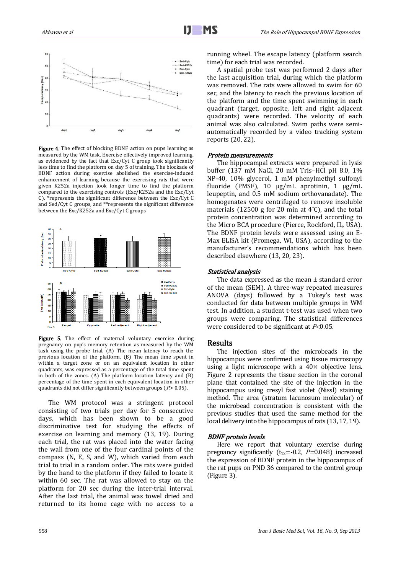

Figure 4. The effect of blocking BDNF action on pups learning as measured by the WM task. Exercise effectively improved learning, as evidenced by the fact that Exc/Cyt C group took significantly less time to find the platform on day 5 of training. The blockade of BDNF action during exercise abolished the exercise-induced enhancement of learning because the exercising rats that were given K252a injection took longer time to find the platform compared to the exercising controls (Exc/K252a and the Exc/Cyt C). \*represents the significant difference between the Exc/Cyt C and Sed/Cyt C groups, and \*\*represents the significant difference between the Exc/K252a and Exc/Cyt C groups



Figure 5. The effect of maternal voluntary exercise during pregnancy on pup's memory retention as measured by the WM task using the probe trial. (A) The mean latency to reach the previous location of the platform. (B) The mean time spent in within a target zone or on an equivalent location in other quadrants, was expressed as a percentage of the total time spent in both of the zones. (A) The platform location latency and (B) percentage of the time spent in each equivalent location in other quadrants did not differ significantly between groups ( $P$  > 0.05).

The WM protocol was a stringent protocol consisting of two trials per day for 5 consecutive days, which has been shown to be a good discriminative test for studying the effects of exercise on learning and memory (13, 19). During each trial, the rat was placed into the water facing the wall from one of the four cardinal points of the compass (N, E, S, and W), which varied from each trial to trial in a random order. The rats were guided by the hand to the platform if they failed to locate it within 60 sec. The rat was allowed to stay on the platform for 20 sec during the inter-trial interval. After the last trial, the animal was towel dried and returned to its home cage with no access to a running wheel. The escape latency (platform search time) for each trial was recorded.

A spatial probe test was performed 2 days after the last acquisition trial, during which the platform was removed. The rats were allowed to swim for 60 sec, and the latency to reach the previous location of the platform and the time spent swimming in each quadrant (target, opposite, left and right adjacent quadrants) were recorded. The velocity of each animal was also calculated. Swim paths were semiautomatically recorded by a video tracking system reports (20, 22).

#### Protein measurements

The hippocampal extracts were prepared in lysis buffer (137 mM NaCl, 20 mM Tris–HCl pH 8.0, 1% NP-40, 10% glycerol, 1 mM phenylmethyl sulfonyl fluoride (PMSF), 10 μg/mL aprotinin, 1 μg/mL leupeptin, and 0.5 mM sodium orthovanadate). The homogenates were centrifuged to remove insoluble materials (12500 g for 20 min at 4°C), and the total protein concentration was determined according to the Micro BCA procedure (Pierce, Rockford, IL, USA). The BDNF protein levels were assessed using an E-Max ELISA kit (Promega, WI, USA), according to the manufacturer's recommendations which has been described elsewhere (13, 20, 23).

#### Statistical analysis

The data expressed as the mean  $\pm$  standard error of the mean (SEM). A three-way repeated measures ANOVA (days) followed by a Tukey's test was conducted for data between multiple groups in WM test. In addition, a student t-test was used when two groups were comparing. The statistical differences were considered to be significant at  $P<0.05$ .

## Results

The injection sites of the microbeads in the hippocampus were confirmed using tissue microscopy using a light microscope with a  $40\times$  objective lens. Figure 2 represents the tissue section in the coronal plane that contained the site of the injection in the hippocampus using cresyl fast violet (Nissl) staining method. The area (stratum lacunosum molecular) of the microbead concentration is consistent with the previous studies that used the same method for the local delivery into the hippocampus of rats (13, 17, 19).

#### BDNF protein levels

Here we report that voluntary exercise during pregnancy significantly ( $t_{12}$ =-0.2,  $P$ =0.048) increased the expression of BDNF protein in the hippocampus of the rat pups on PND 36 compared to the control group (Figure 3).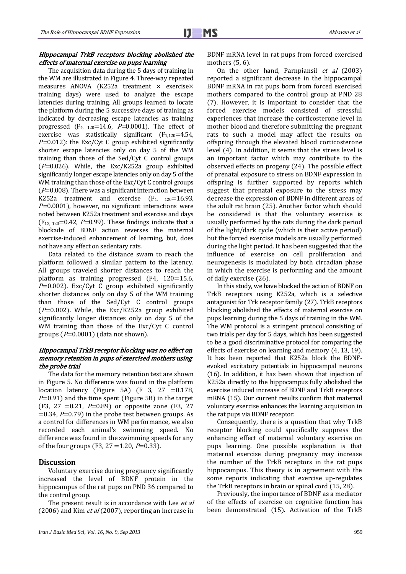#### Hippocampal TrkB receptors blocking abolished the effects of maternal exercise on pups learning

The acquisition data during the 5 days of training in the WM are illustrated in Figure 4. Three-way repeated measures ANOVA (K252a treatment × exercise× training days) were used to analyze the escape latencies during training. All groups learned to locate the platform during the 5 successive days of training as indicated by decreasing escape latencies as training progressed (F<sub>4, 120</sub>=14.6, P=0.0001). The effect of exercise was statistically significant  $(F_{1,120}=4.54,$  $P=0.012$ ): the Exc/Cyt C group exhibited significantly shorter escape latencies only on day 5 of the WM training than those of the Sed/Cyt C control groups ( $P=0.026$ ). While, the Exc/K252a group exhibited significantly longer escape latencies only on day 5 of the WM training than those of the Exc/Cyt C control groups  $(P=0.008)$ . There was a significant interaction between K252a treatment and exercise  $(F_1, 120=16.93)$ ,  $P=0.0001$ ), however, no significant interactions were noted between K252a treatment and exercise and days  $(F_{12, 120}=0.42, P=0.99)$ . These findings indicate that a blockade of BDNF action reverses the maternal exercise-induced enhancement of learning, but, does not have any effect on sedentary rats.

Data related to the distance swam to reach the platform followed a similar pattern to the latency. All groups traveled shorter distances to reach the platform as training progressed (F4, 120=15.6,  $P=0.002$ ). Exc/Cyt C group exhibited significantly shorter distances only on day 5 of the WM training than those of the Sed/Cyt C control groups ( $P=0.002$ ). While, the Exc/K252a group exhibited significantly longer distances only on day 5 of the WM training than those of the Exc/Cyt C control groups ( $P=0.0001$ ) (data not shown).

## Hippocampal TrkB receptor blocking was no effect on memory retention in pups of exercised mothers using the probe trial

The data for the memory retention test are shown in Figure 5. No difference was found in the platform location latency (Figure 5A) (F 3, 27 =  $0.178$ ,  $P=0.91$ ) and the time spent (Figure 5B) in the target (F3, 27 = 0.21,  $P=0.89$ ) or opposite zone (F3, 27  $=0.34$ ,  $P=0.79$ ) in the probe test between groups. As a control for differences in WM performance, we also recorded each animal's swimming speed. No difference was found in the swimming speeds for any of the four groups (F3, 27 = 1.20,  $P=0.33$ ).

## Discussion

Voluntary exercise during pregnancy significantly increased the level of BDNF protein in the hippocampus of the rat pups on PND 36 compared to the control group.

The present result is in accordance with Lee et al (2006) and Kim  $et al$  (2007), reporting an increase in

BDNF mRNA level in rat pups from forced exercised mothers (5, 6).

On the other hand, Parnpiansil  $et$  al (2003) reported a significant decrease in the hippocampal BDNF mRNA in rat pups born from forced exercised mothers compared to the control group at PND 28 (7). However, it is important to consider that the forced exercise models consisted of stressful experiences that increase the corticosterone level in mother blood and therefore submitting the pregnant rats to such a model may affect the results on offspring through the elevated blood corticosterone level (4). In addition, it seems that the stress level is an important factor which may contribute to the observed effects on progeny (24). The possible effect of prenatal exposure to stress on BDNF expression in offspring is further supported by reports which suggest that prenatal exposure to the stress may decrease the expression of BDNF in different areas of the adult rat brain (25). Another factor which should be considered is that the voluntary exercise is usually performed by the rats during the dark period of the light/dark cycle (which is their active period) but the forced exercise models are usually performed during the light period. It has been suggested that the influence of exercise on cell proliferation and neurogenesis is modulated by both circadian phase in which the exercise is performing and the amount of daily exercise (26).

In this study, we have blocked the action of BDNF on TrkB receptors using K252a, which is a selective antagonist for Trk receptor family (27). TrkB receptors blocking abolished the effects of maternal exercise on pups learning during the 5 days of training in the WM. The WM protocol is a stringent protocol consisting of two trials per day for 5 days, which has been suggested to be a good discriminative protocol for comparing the effects of exercise on learning and memory (4, 13, 19). It has been reported that K252a block the BDNFevoked excitatory potentials in hippocampal neurons (16). In addition, it has been shown that injection of K252a directly to the hippocampus fully abolished the exercise induced increase of BDNF and TrkB receptors mRNA (15). Our current results confirm that maternal voluntary exercise enhances the learning acquisition in the rat pups via BDNF receptor.

Consequently, there is a question that why TrkB receptor blocking could specifically suppress the enhancing effect of maternal voluntary exercise on pups learning. One possible explanation is that maternal exercise during pregnancy may increase the number of the TrkB receptors in the rat pups hippocampus. This theory is in agreement with the some reports indicating that exercise up-regulates the TrkB receptors in brain or spinal cord (15, 28).

Previously, the importance of BDNF as a mediator of the effects of exercise on cognitive function has been demonstrated (15). Activation of the TrkB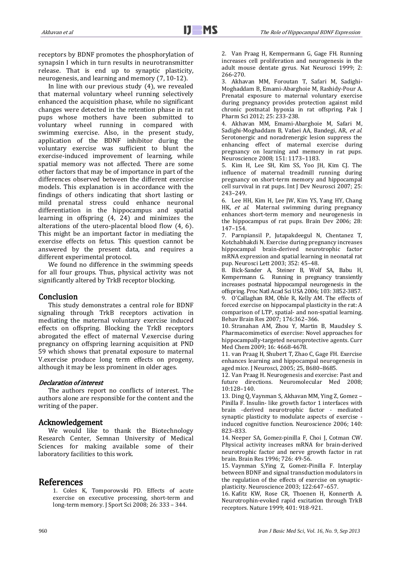receptors by BDNF promotes the phosphorylation of synapsin I which in turn results in neurotransmitter release. That is end up to synaptic plasticity, neurogenesis, and learning and memory (7, 10-12).

In line with our previous study (4), we revealed that maternal voluntary wheel running selectively enhanced the acquisition phase, while no significant changes were detected in the retention phase in rat pups whose mothers have been submitted to voluntary wheel running in compared with swimming exercise. Also, in the present study, application of the BDNF inhibitor during the voluntary exercise was sufficient to blunt the exercise-induced improvement of learning, while spatial memory was not affected. There are some other factors that may be of importance in part of the differences observed between the different exercise models. This explanation is in accordance with the findings of others indicating that short lasting or mild prenatal stress could enhance neuronal differentiation in the hippocampus and spatial learning in offspring (4, 24) and minimizes the alterations of the utero-placental blood flow (4, 6). This might be an important factor in mediating the exercise effects on fetus. This question cannot be answered by the present data, and requires a different experimental protocol.

We found no difference in the swimming speeds for all four groups. Thus, physical activity was not significantly altered by TrkB receptor blocking.

## Conclusion

This study demonstrates a central role for BDNF signaling through TrkB receptors activation in mediating the maternal voluntary exercise induced effects on offspring. Blocking the TrkB receptors abrogated the effect of maternal V.exercise during pregnancy on offspring learning acquisition at PND 59 which shows that prenatal exposure to maternal V.exercise produce long term effects on progeny, although it may be less prominent in older ages.

#### Declaration of interest

The authors report no conflicts of interest. The authors alone are responsible for the content and the writing of the paper.

## Acknowledgement

We would like to thank the Biotechnology Research Center, Semnan University of Medical Sciences for making available some of their laboratory facilities to this work.

## References

1. Coles K, Tomporowski PD. Effects of acute exercise on executive processing, short-term and long-term memory. J Sport Sci 2008; 26: 333 – 344.

2. Van Praag H, Kempermann G, Gage FH. Running increases cell proliferation and neurogenesis in the adult mouse dentate gyrus. Nat Neurosci 1999; 2: 266-270.

3. Akhavan MM, Foroutan T, Safari M, Sadighi-Moghaddam B, Emami-Abarghoie M, Rashidy-Pour A. Prenatal exposure to maternal voluntary exercise during pregnancy provides protection against mild chronic postnatal hypoxia in rat offspring. Pak J Pharm Sci 2012; 25: 233-238.

4. Akhavan MM, Emami-Abarghoie M, Safari M, Sadighi-Moghaddam B, Vafaei AA, Bandegi, AR, et al. Serotonergic and noradrenergic lesion suppress the enhancing effect of maternal exercise during pregnancy on learning and memory in rat pups. Neuroscience 2008; 151: 1173–1183.

5. Kim H, Lee SH, Kim SS, Yoo JH, Kim CJ. The influence of maternal treadmill running during pregnancy on short-term memory and hippocampal cell survival in rat pups. Int J Dev Neurosci 2007; 25: 243–249.

6. Lee HH, Kim H, Lee JW, Kim YS, Yang HY, Chang HK, et al. Maternal swimming during pregnancy enhances short-term memory and neurogenesis in the hippocampus of rat pups. Brain Dev 2006; 28: 147–154.

7. Parnpiansil P, Jutapakdeegul N, Chentanez T, Kotchabhakdi N. Exercise during pregnancy increases hippocampal brain-derived neurotrophic factor mRNA expression and spatial learning in neonatal rat pup. Neurosci Lett 2003; 352: 45–48.

8. Bick-Sander A, Steiner B, Wolf SA, Babu H, Kempermann G. Running in pregnancy transiently increases postnatal hippocampal neurogenesis in the offspring. Proc Natl Acad Sci USA 2006; 103: 3852-3857. 9. O'Callaghan RM, Ohle R, Kelly AM. The effects of forced exercise on hippocampal plasticity in the rat: A comparison of LTP, spatial- and non-spatial learning. Behav Brain Res 2007; 176:362–366.

10. Stranahan AM, Zhou Y, Martin B, Maudsley S. Pharmacomimetics of exercise: Novel approaches for hippocampally-targeted neuroprotective agents. Curr Med Chem 2009; 16: 4668-4678.

11. van Praag H, Shubert T, Zhao C, Gage FH. Exercise enhances learning and hippocampal neurogenesis in aged mice. J Neurosci, 2005; 25, 8680–8685.

12. Van Praag H. Neurogenesis and exercise: Past and future directions. Neuromolecular Med 2008; 10:128–140.

13. Ding Q, Vaynman S, Akhavan MM, Ying Z, Gomez – Pinilla F. Insulin- like growth factor 1 interfaces with brain -derived neurotrophic factor - mediated synaptic plasticity to modulate aspects of exercise induced cognitive function. Neuroscience 2006; 140: 823–833.

14. Neeper SA, Gomez-pinilla F, Choi J, Cotman CW. Physical activity increases mRNA for brain-derived neurotrophic factor and nerve growth factor in rat brain. Brain Res 1996; 726: 49-56.

15. Vaynman S,Ying Z, Gomez-Pinilla F. Interplay between BDNF and signal transduction modulators in the regulation of the effects of exercise on synapticplasticity. Neuroscience 2003; 122:647–657.

16. Kafitz KW, Rose CR, Thoenen H, Konnerth A. Neurotrophin-evoked rapid excitation through TrkB receptors. Nature 1999; 401: 918-921.